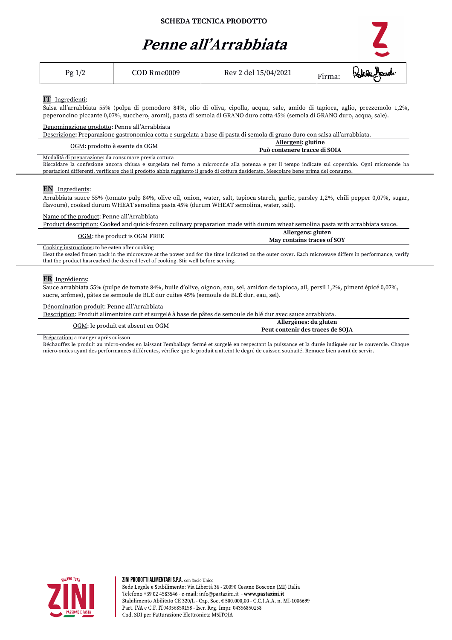## **Penne all'Arrabbiata**

| Pg 1/2                                                        | COD Rme0009                                                                            | Rev 2 del 15/04/2021                                                                                                                                                                                                                                                                                                                                             | Firma: |
|---------------------------------------------------------------|----------------------------------------------------------------------------------------|------------------------------------------------------------------------------------------------------------------------------------------------------------------------------------------------------------------------------------------------------------------------------------------------------------------------------------------------------------------|--------|
| <b>IT</b> Ingredienti:                                        |                                                                                        | Salsa all'arrabbiata 55% (polpa di pomodoro 84%, olio di oliva, cipolla, acqua, sale, amido di tapioca, aglio, prezzemolo 1,2%,<br>peperoncino piccante 0,07%, zucchero, aromi), pasta di semola di GRANO duro cotta 45% (semola di GRANO duro, acqua, sale).                                                                                                    |        |
| Denominazione prodotto: Penne all'Arrabbiata                  |                                                                                        | Descrizione: Preparazione gastronomica cotta e surgelata a base di pasta di semola di grano duro con salsa all'arrabbiata.                                                                                                                                                                                                                                       |        |
|                                                               | OGM: prodotto è esente da OGM                                                          | Allergeni: glutine<br>Può contenere tracce di SOIA                                                                                                                                                                                                                                                                                                               |        |
| Modalità di preparazione: da consumare previa cottura         |                                                                                        | Riscaldare la confezione ancora chiusa e surgelata nel forno a microonde alla potenza e per il tempo indicate sul coperchio. Ogni microonde ha<br>prestazioni differenti, verificare che il prodotto abbia raggiunto il grado di cottura desiderato. Mescolare bene prima del consumo.                                                                           |        |
| EN Ingredients:<br>Name of the product: Penne all'Arrabbiata  |                                                                                        | Arrabbiata sauce 55% (tomato pulp 84%, olive oil, onion, water, salt, tapioca starch, garlic, parsley 1,2%, chili pepper 0,07%, sugar,<br>flavours), cooked durum WHEAT semolina pasta 45% (durum WHEAT semolina, water, salt).<br>Product description: Cooked and quick-frozen culinary preparation made with durum wheat semolina pasta with arrabbiata sauce. |        |
|                                                               | OGM: the product is OGM FREE                                                           | Allergens: gluten<br>May contains traces of SOY                                                                                                                                                                                                                                                                                                                  |        |
| Cooking instructions: to be eaten after cooking               | that the product has reached the desired level of cooking. Stir well before serving.   | Heat the sealed frozen pack in the microwave at the power and for the time indicated on the outer cover. Each microwave differs in performance, verify                                                                                                                                                                                                           |        |
| FR Ingrédients:<br>Dénomination produit: Penne all'Arrabbiata | sucre, arômes), pâtes de semoule de BLÉ dur cuites 45% (semoule de BLÉ dur, eau, sel). | Sauce arrabbiata 55% (pulpe de tomate 84%, huile d'olive, oignon, eau, sel, amidon de tapioca, ail, persil 1,2%, piment épicé 0,07%,                                                                                                                                                                                                                             |        |
|                                                               |                                                                                        |                                                                                                                                                                                                                                                                                                                                                                  |        |

Description: Produit alimentaire cuit et surgelé à base de pâtes de semoule de blé dur avec sauce arrabbiata.

| Allergènes: du gluten<br>OGM: le produit est absent en OGM |                                  |
|------------------------------------------------------------|----------------------------------|
|                                                            |                                  |
|                                                            | Peut contenir des traces de SOJA |

Préparation: a manger après cuisson

Réchauffez le produit au micro-ondes en laissant l'emballage fermé et surgelé en respectant la puissance et la durée indiquée sur le couvercle. Chaque micro-ondes ayant des performances différentes, vérifiez que le produit a atteint le degré de cuisson souhaité. Remuez bien avant de servir.



ZINI PRODOTTI ALIMENTARI S.P.A. con Socio Unico Sede Legale e Stabilimento: Via Libertà 36 - 20090 Cesano Boscone (MI) Italia Telefono +39 02 4583546 - e-mail: info@pastazini.it - www.pastazini.it<br>Stabilimento Abilitato CE 320/L - Cap. Soc. € 500.000,00 - C.C.I.A.A. n. MI-1006699 Part. IVA e C.F. IT04356850158 - Iscr. Reg. Impr. 04356850158 Cod. SDI per Fatturazione Elettronica: M5ITOJA